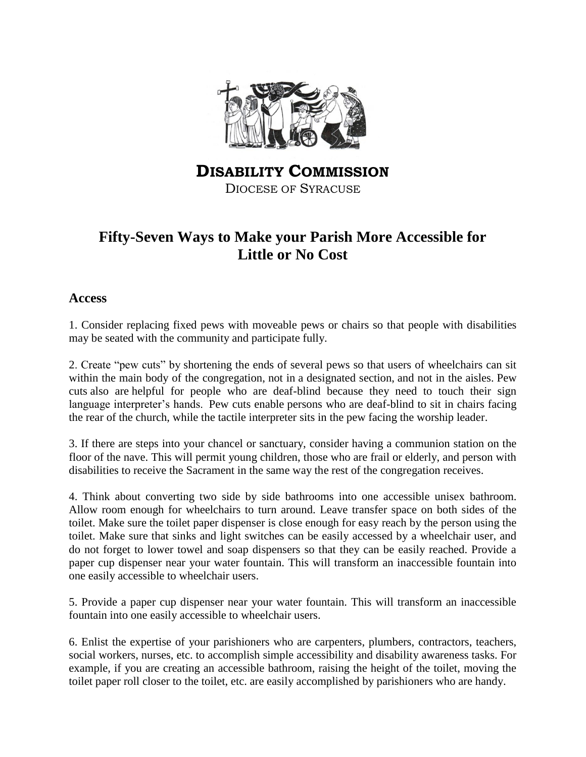

**DISABILITY COMMISSION** DIOCESE OF SYRACUSE

# **Fifty-Seven Ways to Make your Parish More Accessible for Little or No Cost**

#### **Access**

1. Consider replacing fixed pews with moveable pews or chairs so that people with disabilities may be seated with the community and participate fully.

2. Create "pew cuts" by shortening the ends of several pews so that users of wheelchairs can sit within the main body of the congregation, not in a designated section, and not in the aisles. Pew cuts also are helpful for people who are deaf-blind because they need to touch their sign language interpreter's hands. Pew cuts enable persons who are deaf-blind to sit in chairs facing the rear of the church, while the tactile interpreter sits in the pew facing the worship leader.

3. If there are steps into your chancel or sanctuary, consider having a communion station on the floor of the nave. This will permit young children, those who are frail or elderly, and person with disabilities to receive the Sacrament in the same way the rest of the congregation receives.

4. Think about converting two side by side bathrooms into one accessible unisex bathroom. Allow room enough for wheelchairs to turn around. Leave transfer space on both sides of the toilet. Make sure the toilet paper dispenser is close enough for easy reach by the person using the toilet. Make sure that sinks and light switches can be easily accessed by a wheelchair user, and do not forget to lower towel and soap dispensers so that they can be easily reached. Provide a paper cup dispenser near your water fountain. This will transform an inaccessible fountain into one easily accessible to wheelchair users.

5. Provide a paper cup dispenser near your water fountain. This will transform an inaccessible fountain into one easily accessible to wheelchair users.

6. Enlist the expertise of your parishioners who are carpenters, plumbers, contractors, teachers, social workers, nurses, etc. to accomplish simple accessibility and disability awareness tasks. For example, if you are creating an accessible bathroom, raising the height of the toilet, moving the toilet paper roll closer to the toilet, etc. are easily accomplished by parishioners who are handy.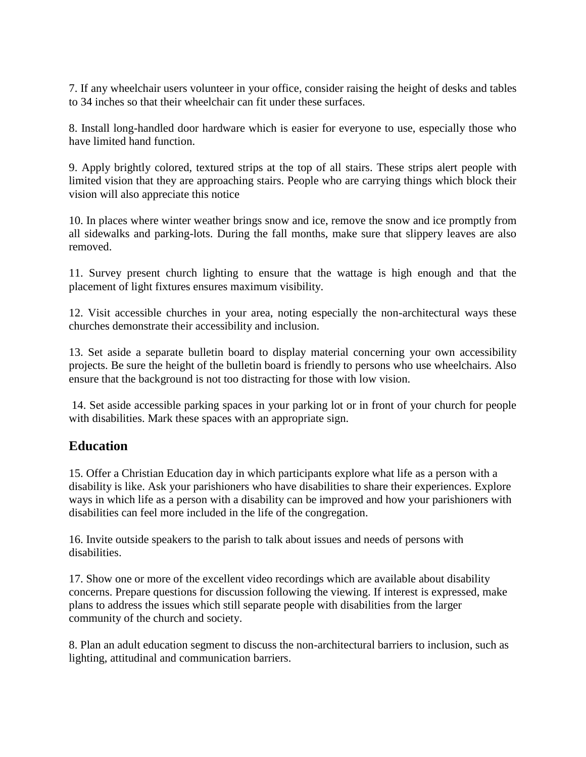7. If any wheelchair users volunteer in your office, consider raising the height of desks and tables to 34 inches so that their wheelchair can fit under these surfaces.

8. Install long-handled door hardware which is easier for everyone to use, especially those who have limited hand function.

9. Apply brightly colored, textured strips at the top of all stairs. These strips alert people with limited vision that they are approaching stairs. People who are carrying things which block their vision will also appreciate this notice

10. In places where winter weather brings snow and ice, remove the snow and ice promptly from all sidewalks and parking-lots. During the fall months, make sure that slippery leaves are also removed.

11. Survey present church lighting to ensure that the wattage is high enough and that the placement of light fixtures ensures maximum visibility.

12. Visit accessible churches in your area, noting especially the non-architectural ways these churches demonstrate their accessibility and inclusion.

13. Set aside a separate bulletin board to display material concerning your own accessibility projects. Be sure the height of the bulletin board is friendly to persons who use wheelchairs. Also ensure that the background is not too distracting for those with low vision.

14. Set aside accessible parking spaces in your parking lot or in front of your church for people with disabilities. Mark these spaces with an appropriate sign.

## **Education**

15. Offer a Christian Education day in which participants explore what life as a person with a disability is like. Ask your parishioners who have disabilities to share their experiences. Explore ways in which life as a person with a disability can be improved and how your parishioners with disabilities can feel more included in the life of the congregation.

16. Invite outside speakers to the parish to talk about issues and needs of persons with disabilities.

17. Show one or more of the excellent video recordings which are available about disability concerns. Prepare questions for discussion following the viewing. If interest is expressed, make plans to address the issues which still separate people with disabilities from the larger community of the church and society.

8. Plan an adult education segment to discuss the non-architectural barriers to inclusion, such as lighting, attitudinal and communication barriers.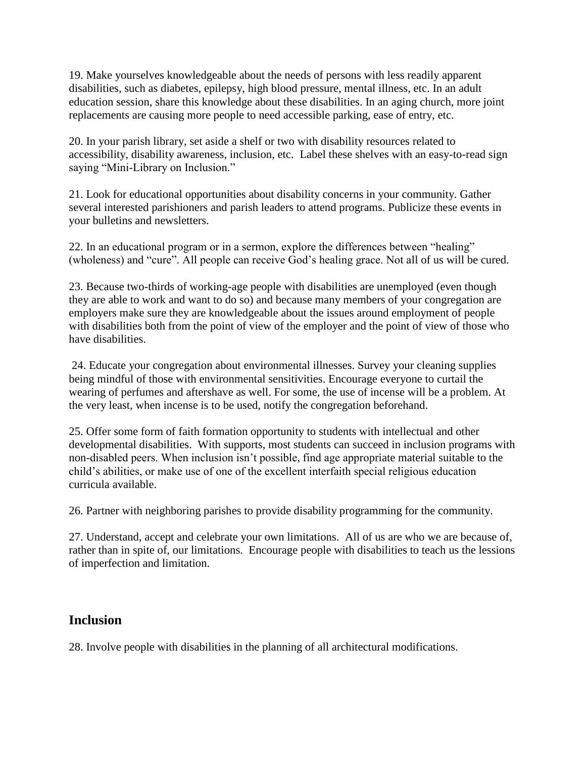19. Make yourselves knowledgeable about the needs of persons with less readily apparent disabilities, such as diabetes, epilepsy, high blood pressure, mental illness, etc. In an adult education session, share this knowledge about these disabilities. In an aging church, more joint replacements are causing more people to need accessible parking, ease of entry, etc.

20. In your parish library, set aside a shelf or two with disability resources related to accessibility, disability awareness, inclusion, etc. Label these shelves with an easy-to-read sign saying "Mini-Library on Inclusion."

21. Look for educational opportunities about disability concerns in your community. Gather several interested parishioners and parish leaders to attend programs. Publicize these events in your bulletins and newsletters.

22. In an educational program or in a sermon, explore the differences between "healing" (wholeness) and "cure". All people can receive God's healing grace. Not all of us will be cured.

23. Because two-thirds of working-age people with disabilities are unemployed (even though they are able to work and want to do so) and because many members of your congregation are employers make sure they are knowledgeable about the issues around employment of people with disabilities both from the point of view of the employer and the point of view of those who have disabilities.

24. Educate your congregation about environmental illnesses. Survey your cleaning supplies being mindful of those with environmental sensitivities. Encourage everyone to curtail the wearing of perfumes and aftershave as well. For some, the use of incense will be a problem. At the very least, when incense is to be used, notify the congregation beforehand.

25. Offer some form of faith formation opportunity to students with intellectual and other developmental disabilities. With supports, most students can succeed in inclusion programs with non-disabled peers. When inclusion isn't possible, find age appropriate material suitable to the child's abilities, or make use of one of the excellent interfaith special religious education curricula available.

26. Partner with neighboring parishes to provide disability programming for the community.

27. Understand, accept and celebrate your own limitations. All of us are who we are because of, rather than in spite of, our limitations. Encourage people with disabilities to teach us the lessions of imperfection and limitation.

## **Inclusion**

28. Involve people with disabilities in the planning of all architectural modifications.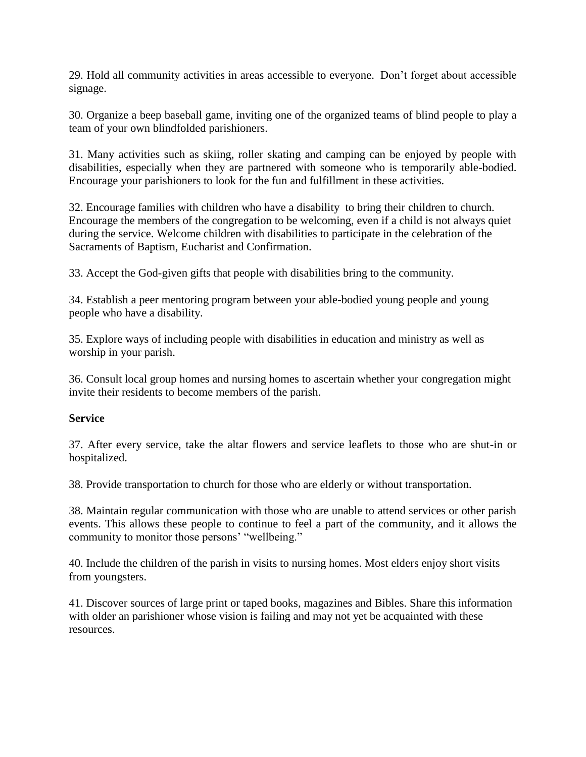29. Hold all community activities in areas accessible to everyone. Don't forget about accessible signage.

30. Organize a beep baseball game, inviting one of the organized teams of blind people to play a team of your own blindfolded parishioners.

31. Many activities such as skiing, roller skating and camping can be enjoyed by people with disabilities, especially when they are partnered with someone who is temporarily able-bodied. Encourage your parishioners to look for the fun and fulfillment in these activities.

32. Encourage families with children who have a disability to bring their children to church. Encourage the members of the congregation to be welcoming, even if a child is not always quiet during the service. Welcome children with disabilities to participate in the celebration of the Sacraments of Baptism, Eucharist and Confirmation.

33. Accept the God-given gifts that people with disabilities bring to the community.

34. Establish a peer mentoring program between your able-bodied young people and young people who have a disability.

35. Explore ways of including people with disabilities in education and ministry as well as worship in your parish.

36. Consult local group homes and nursing homes to ascertain whether your congregation might invite their residents to become members of the parish.

#### **Service**

37. After every service, take the altar flowers and service leaflets to those who are shut-in or hospitalized.

38. Provide transportation to church for those who are elderly or without transportation.

38. Maintain regular communication with those who are unable to attend services or other parish events. This allows these people to continue to feel a part of the community, and it allows the community to monitor those persons' "wellbeing."

40. Include the children of the parish in visits to nursing homes. Most elders enjoy short visits from youngsters.

41. Discover sources of large print or taped books, magazines and Bibles. Share this information with older an parishioner whose vision is failing and may not yet be acquainted with these resources.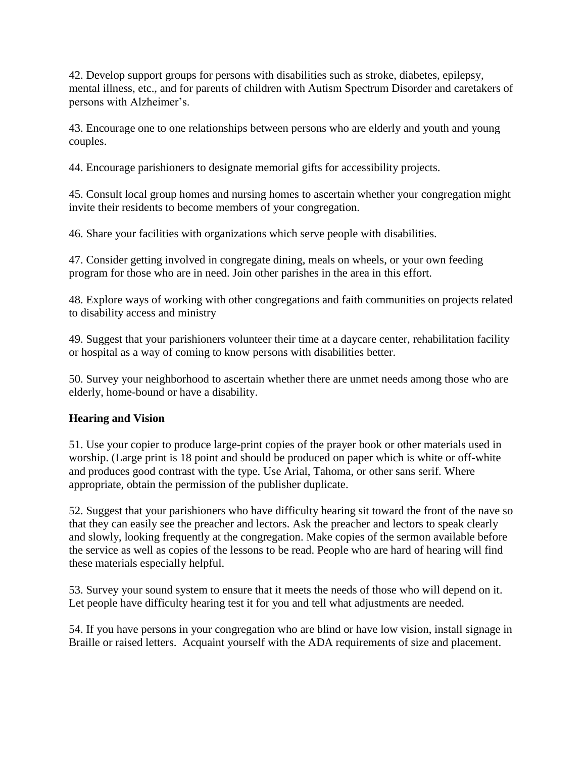42. Develop support groups for persons with disabilities such as stroke, diabetes, epilepsy, mental illness, etc., and for parents of children with Autism Spectrum Disorder and caretakers of persons with Alzheimer's.

43. Encourage one to one relationships between persons who are elderly and youth and young couples.

44. Encourage parishioners to designate memorial gifts for accessibility projects.

45. Consult local group homes and nursing homes to ascertain whether your congregation might invite their residents to become members of your congregation.

46. Share your facilities with organizations which serve people with disabilities.

47. Consider getting involved in congregate dining, meals on wheels, or your own feeding program for those who are in need. Join other parishes in the area in this effort.

48. Explore ways of working with other congregations and faith communities on projects related to disability access and ministry

49. Suggest that your parishioners volunteer their time at a daycare center, rehabilitation facility or hospital as a way of coming to know persons with disabilities better.

50. Survey your neighborhood to ascertain whether there are unmet needs among those who are elderly, home-bound or have a disability.

#### **Hearing and Vision**

51. Use your copier to produce large-print copies of the prayer book or other materials used in worship. (Large print is 18 point and should be produced on paper which is white or off-white and produces good contrast with the type. Use Arial, Tahoma, or other sans serif. Where appropriate, obtain the permission of the publisher duplicate.

52. Suggest that your parishioners who have difficulty hearing sit toward the front of the nave so that they can easily see the preacher and lectors. Ask the preacher and lectors to speak clearly and slowly, looking frequently at the congregation. Make copies of the sermon available before the service as well as copies of the lessons to be read. People who are hard of hearing will find these materials especially helpful.

53. Survey your sound system to ensure that it meets the needs of those who will depend on it. Let people have difficulty hearing test it for you and tell what adjustments are needed.

54. If you have persons in your congregation who are blind or have low vision, install signage in Braille or raised letters. Acquaint yourself with the ADA requirements of size and placement.